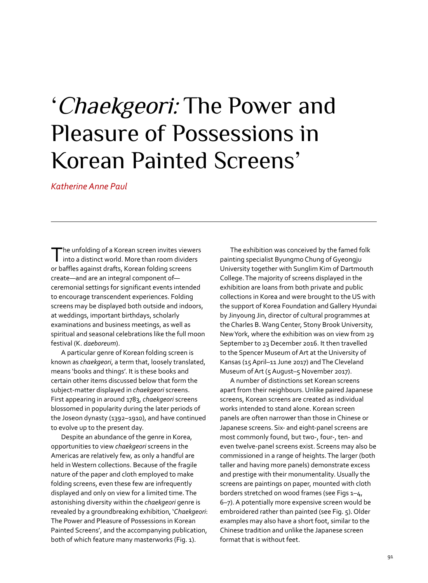## 'Chaekgeori: The Power and Pleasure of Possessions in Korean Painted Screens'

*Katherine Anne Paul* 

The unfolding of a Korean screen invites viewers<br>into a distinct world. More than room dividers or baffles against drafts, Korean folding screens create—and are an integral component of ceremonial settings for significant events intended to encourage transcendent experiences. Folding screens may be displayed both outside and indoors, at weddings, important birthdays, scholarly examinations and business meetings, as well as spiritual and seasonal celebrations like the full moon festival (K. *daeboreum*).

A particular genre of Korean folding screen is known as *chaekgeori*, a term that, loosely translated, means 'books and things'. It is these books and certain other items discussed below that form the subject-matter displayed in *chaekgeori* screens. First appearing in around 1783, *chaekgeori* screens blossomed in popularity during the later periods of the Joseon dynasty (1392–1910), and have continued to evolve up to the present day.

Despite an abundance of the genre in Korea, opportunities to view *chaekgeori* screens in the Americas are relatively few, as only a handful are held in Western collections. Because of the fragile nature of the paper and cloth employed to make folding screens, even these few are infrequently displayed and only on view for a limited time. The astonishing diversity within the *chaekgeori* genre is revealed by a groundbreaking exhibition, '*Chaekgeori*: The Power and Pleasure of Possessions in Korean Painted Screens', and the accompanying publication, both of which feature many masterworks (Fig. 1).

The exhibition was conceived by the famed folk painting specialist Byungmo Chung of Gyeongju University together with Sunglim Kim of Dartmouth College. The majority of screens displayed in the exhibition are loans from both private and public collections in Korea and were brought to the US with the support of Korea Foundation and Gallery Hyundai by Jinyoung Jin, director of cultural programmes at the Charles B. Wang Center, Stony Brook University, New York, where the exhibition was on view from 29 September to 23 December 2016. It then travelled to the Spencer Museum of Art at the University of Kansas (15 April–11 June 2017) and The Cleveland Museum of Art (5 August–5 November 2017).

A number of distinctions set Korean screens apart from their neighbours. Unlike paired Japanese screens, Korean screens are created as individual works intended to stand alone. Korean screen panels are often narrower than those in Chinese or Japanese screens. Six- and eight-panel screens are most commonly found, but two-, four-, ten- and even twelve-panel screens exist. Screens may also be commissioned in a range of heights. The larger (both taller and having more panels) demonstrate excess and prestige with their monumentality. Usually the screens are paintings on paper, mounted with cloth borders stretched on wood frames (see Figs 1–4, 6–7). A potentially more expensive screen would be embroidered rather than painted (see Fig. 5). Older examples may also have a short foot, similar to the Chinese tradition and unlike the Japanese screen format that is without feet.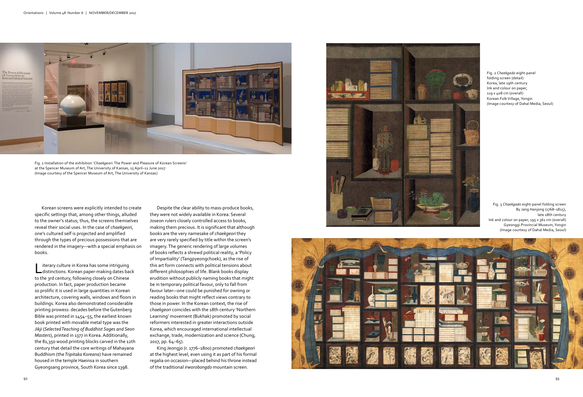Fig. 3 *Chaekgado* eight-panel folding screen By Jang Hanjong (1768–1815), late 18th century Ink and colour on paper, 195 x 361 cm (overall) Gyeonggi Provincial Museum, Yongin (Image courtesy of Dahal Media, Seoul)

Fig. 2 *Chaekgado* eight-panel folding screen (detail) Korea, late 19th century Ink and colour on paper, 119 x 408 cm (overall) Korean Folk Village, Yongin (Image courtesy of Dahal Media, Seoul)

Despite the clear ability to mass-produce books, they were not widely available in Korea. Several Joseon rulers closely controlled access to books, making them precious. It is significant that although books are the very namesake of *chaekgeori* they are very rarely specified by title within the screen's imagery. The generic rendering of large volumes of books reflects a shrewd political reality, a 'Policy of Impartiality' (Tangpyeongchoek), as the rise of this art form connects with political tensions about different philosophies of life. Blank books display erudition without publicly naming books that might be in temporary political favour, only to fall from favour later—one could be punished for owning or reading books that might reflect views contrary to those in power. In the Korean context, the rise of *chaekgeori* coincides with the 18th century 'Northern Learning' movement (Bukhak) promoted by social reformers interested in greater interactions outside Korea, which encouraged international intellectual exchange, trade, modernization and science (Chung, 2017, pp. 64–65).

King Jeongjo (r. 1776–1800) promoted *chaekgeori*  at the highest level, even using it as part of his formal regalia on occasion—placed behind his throne instead of the traditional *irworobongdo* mountain screen.





Korean screens were explicitly intended to create specific settings that, among other things, alluded to the owner's status; thus, the screens themselves reveal their social uses. In the case of *chaekgeori,*  one's cultured self is projected and amplified through the types of precious possessions that are rendered in the imagery—with a special emphasis on books.

Literary culture in Korea has some intriguing distinctions. Korean paper-making dates back to the 3rd century, following closely on Chinese production. In fact, paper production became so prolific it is used in large quantities in Korean architecture, covering walls, windows and floors in buildings. Korea also demonstrated considerable printing prowess: decades before the Gutenberg Bible was printed in 1454–55, the earliest known book printed with movable metal type was the *Jikji* (*Selected Teaching of Buddhist Sages and Seon Masters*), printed in 1377 in Korea. Additionally, the 81,350 wood printing blocks carved in the 12th century that detail the core writings of Mahayana Buddhism (the *Tripitaka Koreana*) have remained housed in the temple Haeinsa in southern Gyeongsang province, South Korea since 1398.



Fig. 1 Installation of the exhibition '*Chaekgeori*: The Power and Pleasure of Korean Screens' at the Spencer Museum of Art, The University of Kansas, 15 April–11 June 2017 (Image courtesy of the Spencer Museum of Art, The University of Kansas)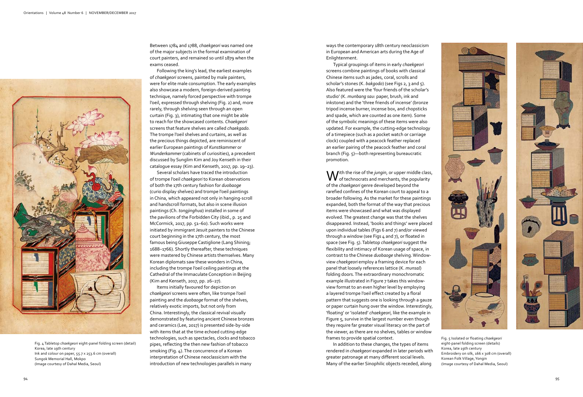

ways the contemporary 18th century neoclassicism in European and American arts during the Age of Enlightenment.

Typical groupings of items in early *chaekgeori* screens combine paintings of books with classical Chinese items such as jades, coral, scrolls and scholar's stones (K. *bakgodo*) (see Figs 2, 3 and 5). Also featured were the 'four friends of the scholar's studio' (K. *munbang sau*: paper, brush, ink and inkstone) and the 'three friends of incense' (bronze tripod incense burner, incense box, and chopsticks and spade, which are counted as one item). Some of the symbolic meanings of these items were also updated. For example, the cutting-edge technology of a timepiece (such as a pocket watch or carriage clock) coupled with a peacock feather replaced an earlier pairing of the peacock feather and coral branch (Fig. 5)—both representing bureaucratic promotion.

**W** ith the rise of the *jungin*, or upper middle class,<br>of technocrats and merchants, the popularity of the *chaekgeori* genre developed beyond the rarefied confines of the Korean court to appeal to a broader following. As the market for these paintings expanded, both the format of the way that precious items were showcased and what was displayed evolved. The greatest change was that the shelves disappeared. Instead, 'books and things' were placed upon individual tables (Figs 6 and 7) and/or viewed through a window (see Figs 4 and 7), or floated in space (see Fig. 5). Tabletop *chaekgeori* suggest the flexibility and intimacy of Korean usage of space, in contrast to the Chinese *duobaoge* shelving. Windowview *chaekgeori* employ a framing device for each panel that loosely references lattice (K. *munsal*) folding doors. The extraordinary monochromatic example illustrated in Figure 7 takes this windowview format to an even higher level by employing a layered trompe l'oeil effect created by a floral pattern that suggests one is looking through a gauze or paper curtain hung over the window. Interestingly, 'floating' or 'isolated' *chaekgeori*, like the example in Figure 5, survive in the largest number even though they require far greater visual literacy on the part of the viewer, as there are no shelves, tables or window frames to provide spatial context.

In addition to these changes, the types of items rendered in *chaekgeori* expanded in later periods with greater patronage at many different social levels. Many of the earlier Sinophilic objects receded, along



Fig. 5 Isolated or floating *chaekgeori*  eight-panel folding screen (details) Korea, late 19th century Embroidery on silk, 166 x 308 cm (overall) Korean Folk Village, Yongin (Image courtesy of Dahal Media, Seoul)



Between 1784 and 1788, *chaekgeori* was named one of the major subjects in the formal examination of court painters, and remained so until 1879 when the exams ceased.

Following the king's lead, the earliest examples of *chaekgeori s*creens, painted by male painters, were for elite male consumption. The early examples also showcase a modern, foreign-derived painting technique, namely forced perspective with trompe l'oeil, expressed through shelving (Fig. 2) and, more rarely, through shelving seen through an open curtain (Fig. 3), intimating that one might be able to reach for the showcased contents. *Chaekgeori* screens that feature shelves are called *chaekgado.*  The trompe l'oeil shelves and curtains, as well as the precious things depicted, are reminiscent of earlier European paintings of *Kunstkammer* or *Wunderkammer* (cabinets of curiosities), a precedent discussed by Sunglim Kim and Joy Kenseth in their catalogue essay (Kim and Kenseth, 2017, pp. 19–23).

Several scholars have traced the introduction of trompe l'oeil *chaekgeori* to Korean observations of both the 17th century fashion for *duobaoge* (curio display shelves) and trompe l'oeil paintings in China, which appeared not only in hanging-scroll and handscroll formats, but also in scene illusion paintings (Ch. *tongjinghua*) installed in some of the pavilions of the Forbidden City (ibid., p. 25 and McCormick, 2017, pp. 51–60). Such works were initiated by immigrant Jesuit painters to the Chinese court beginning in the 17th century, the most famous being Giuseppe Castiglione (Lang Shining; 1688–1766). Shortly thereafter, these techniques were mastered by Chinese artists themselves. Many Korean diplomats saw these wonders in China, including the trompe l'oeil ceiling paintings at the Cathedral of the Immaculate Conception in Beijing (Kim and Kenseth, 2017, pp. 26–27).

Items initially favoured for depiction on *chaekgeori* screens were often, like trompe l'oeil painting and the *duobaoge* format of the shelves, relatively exotic imports, but not only from China. Interestingly, the classical revival visually demonstrated by featuring ancient Chinese bronzes and ceramics (Lee, 2017) is presented side-by-side with items that at the time echoed cutting-edge technologies, such as spectacles, clocks and tobacco pipes, reflecting the then new fashion of tobacco smoking (Fig. 4). The concurrence of a Korean interpretation of Chinese neoclassicism with the introduction of new technologies parallels in many

Fig. 4 Tabletop *chaekgeori* eight-panel folding screen (detail) Korea, late 19th century Ink and colour on paper, 55.7 x 253.6 cm (overall) Sungok Memorial Hall, Mokpo (Image courtesy of Dahal Media, Seoul)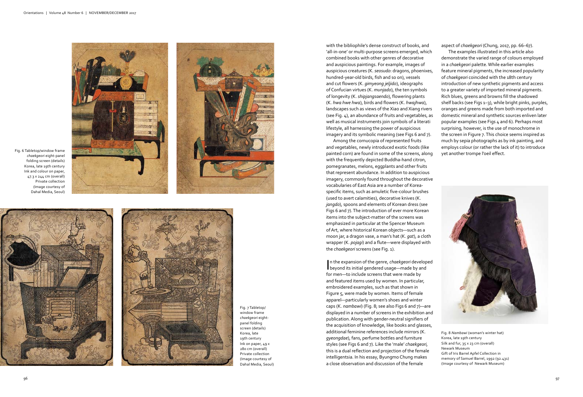with the bibliophile's dense construct of books, and 'all-in-one' or multi-purpose screens emerged, which combined books with other genres of decorative and auspicious paintings. For example, images of auspicious creatures (K. *seosudo*: dragons, phoenixes, hundred-year-old birds, fish and so on), vessels and cut flowers (K. *gimyeong jeljido*), ideographs of Confucian virtues (K. *munjado*), the ten symbols of longevity (K. *shipjangsaendo*), flowering plants (K. *hwa hwe hwa*), birds and flowers (K. *hwajhwa*), landscapes such as views of the Xiao and Xiang rivers (see Fig. 4), an abundance of fruits and vegetables, as well as musical instruments join symbols of a literati lifestyle, all harnessing the power of auspicious imagery and its symbolic meaning (see Figs 6 and 7).

Among the cornucopia of represented fruits and vegetables, newly introduced exotic foods (like painted corn) are found in some of the screens, along with the frequently depicted Buddha-hand citron, pomegranates, melons, eggplants and other fruits that represent abundance. In addition to auspicious imagery, commonly found throughout the decorative vocabularies of East Asia are a number of Koreaspecific items, such as amuletic five-colour brushes (used to avert calamities), decorative knives (K. *jangdo*), spoons and elements of Korean dress (see Figs 6 and 7). The introduction of ever more Korean items into the subject-matter of the screens was emphasized in particular at the Spencer Museum of Art, where historical Korean objects—such as a moon jar, a dragon vase, a man's hat (K. *gat*), a cloth wrapper (K. *pojagi*) and a flute—were displayed with the *chaekgeori* screens (see Fig. 1).

In the expansion of the genre, chaekgeori develop<br>beyond its initial gendered usage—made by and n the expansion of the genre, *chaekgeori* developed for men—to include screens that were made by and featured items used by women. In particular, embroidered examples, such as that shown in Figure 5, were made by women. Items of female apparel—particularly women's shoes and winter caps (K. *nambawi*) (Fig. 8; see also Figs 6 and 7)—are displayed in a number of screens in the exhibition and publication. Along with gender-neutral signifiers of the acquisition of knowledge, like books and glasses, additional feminine references include mirrors (K. *gyeongdae*), fans, perfume bottles and furniture styles (see Figs 6 and 7). Like the 'male' *chaekgeori,*  this is a dual reflection and projection of the female intelligentsia. In his essay, Byungmo Chung makes a close observation and discussion of the female

aspect of *chaekgeori* (Chung, 2017, pp. 66–67).

The examples illustrated in this article also demonstrate the varied range of colours employed in a *chaekgeori* palette. While earlier examples feature mineral pigments, the increased popularity of *chaekgeori* coincided with the 18th century introduction of new synthetic pigments and access to a greater variety of imported mineral pigments. Rich blues, greens and browns fill the shadowed shelf backs (see Figs 1-3), while bright pinks, purples, oranges and greens made from both imported and domestic mineral and synthetic sources enliven later popular examples (see Figs 4 and 6). Perhaps most surprising, however, is the use of monochrome in the screen in Figure 7. This choice seems inspired as much by sepia photographs as by ink painting, and employs colour (or rather the lack of it) to introduce yet another trompe l'oeil effect.



Fig. 8 *Nambawi* (woman's winter hat) Korea, late 19th century Silk and fur, 35 x 23 cm (overall) Newark Museum Gift of Iris Barrel Apfel Collection in memory of Samuel Barrel, 1992 (92.431) (Image courtesy of Newark Museum)



Fig. 6 Tabletop/window frame *chaekgeori* eight-panel folding screen (details) Korea, late 19th century Ink and colour on paper, 47.3 x 244 cm (overall) Private collection (Image courtesy of Dahal Media, Seoul)





Fig. 7 Tabletop/ window frame *chaekgeori* eightpanel folding screen (details) Korea, late 19th century Ink on paper, 49 x 280 cm (overall) Private collection (Image courtesy of Dahal Media, Seoul)